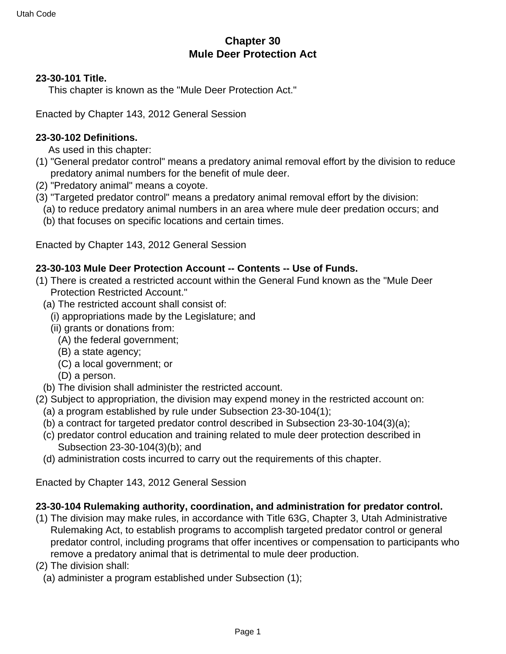# **Chapter 30 Mule Deer Protection Act**

## **23-30-101 Title.**

This chapter is known as the "Mule Deer Protection Act."

Enacted by Chapter 143, 2012 General Session

## **23-30-102 Definitions.**

As used in this chapter:

- (1) "General predator control" means a predatory animal removal effort by the division to reduce predatory animal numbers for the benefit of mule deer.
- (2) "Predatory animal" means a coyote.
- (3) "Targeted predator control" means a predatory animal removal effort by the division:
	- (a) to reduce predatory animal numbers in an area where mule deer predation occurs; and
	- (b) that focuses on specific locations and certain times.

Enacted by Chapter 143, 2012 General Session

#### **23-30-103 Mule Deer Protection Account -- Contents -- Use of Funds.**

- (1) There is created a restricted account within the General Fund known as the "Mule Deer Protection Restricted Account."
	- (a) The restricted account shall consist of:
		- (i) appropriations made by the Legislature; and
		- (ii) grants or donations from:
			- (A) the federal government;
			- (B) a state agency;
			- (C) a local government; or
		- (D) a person.
	- (b) The division shall administer the restricted account.
- (2) Subject to appropriation, the division may expend money in the restricted account on:
	- (a) a program established by rule under Subsection 23-30-104(1);
	- (b) a contract for targeted predator control described in Subsection 23-30-104(3)(a);
	- (c) predator control education and training related to mule deer protection described in Subsection 23-30-104(3)(b); and
	- (d) administration costs incurred to carry out the requirements of this chapter.

Enacted by Chapter 143, 2012 General Session

#### **23-30-104 Rulemaking authority, coordination, and administration for predator control.**

- (1) The division may make rules, in accordance with Title 63G, Chapter 3, Utah Administrative Rulemaking Act, to establish programs to accomplish targeted predator control or general predator control, including programs that offer incentives or compensation to participants who remove a predatory animal that is detrimental to mule deer production.
- (2) The division shall:
	- (a) administer a program established under Subsection (1);